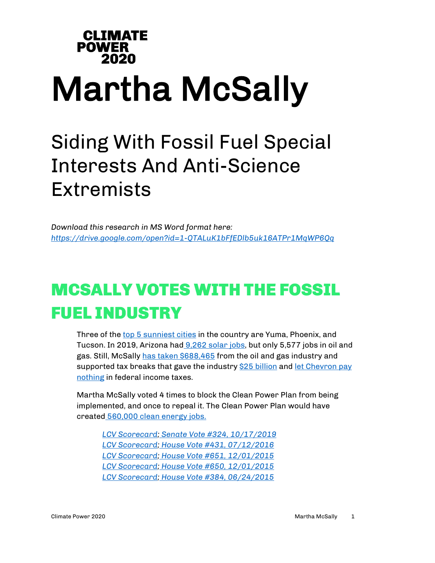## **CLIMATE POWER** 2020 Martha McSally

## Siding With Fossil Fuel Special Interests And Anti-Science **Extremists**

*Download this research in MS Word format here: <https://drive.google.com/open?id=1-QTALuK1bFfEDlb5uk16ATPr1MqWP6Qq>*

## MCSALLY VOTES WITH THE FOSSIL FUEL INDUSTRY

Three of the [top 5 sunniest cities](https://www1.ncdc.noaa.gov/pub/data/ccd-data/pctposrank.txt) in the country are Yuma, Phoenix, and Tucson. In 2019, Arizona had [9,262 solar jobs,](https://static1.squarespace.com/static/5a98cf80ec4eb7c5cd928c61/t/5c7f375515fcc0964aa19491/1551841115357/USEER+Energy+Employment+by+State.pdf) but only 5,577 jobs in oil and gas. Still, McSally [has taken \\$688,465](https://www.opensecrets.org/members-of-congress/industries/martha-mcsally?cid=N00033982&cycle=CAREER&type=I) from the oil and gas industry and supported tax breaks that gave the industry [\\$25 billion](https://psmag.com/economics/tax-bill-oil-company-bonanza) and let Chevron pay [nothing](https://itep.org/corporate-tax-avoidance-in-the-first-year-of-the-trump-tax-law/) in federal income taxes.

Martha McSally voted 4 times to block the Clean Power Plan from being implemented, and once to repeal it. The Clean Power Plan would have created [560,000 clean energy jobs.](https://www.e2.org/wp-content/uploads/2017/06/FINAL-CPP-jobs-report-6.21.17.pdf)

*[LCV Scorecard;](http://scorecard.lcv.org/roll-call-vote/2019-324-stopping-rollbacks-carbon-pollution-limits-power-plants) [Senate Vote #324, 10/17/2019](https://www.senate.gov/legislative/LIS/roll_call_lists/roll_call_vote_cfm.cfm?congress=116&session=1&vote=00324) [LCV Scorecard;](http://scorecard.lcv.org/roll-call-vote/2016-431-carbon-pollution) [House Vote #431, 07/12/2016](http://clerk.house.gov/evs/2016/roll431.xml) [LCV Scorecard;](http://scorecard.lcv.org/roll-call-vote/2015-651-extreme-attack-carbon-pollution-limits-new-power-plants-cra) [House Vote #651, 12/01/2015](http://clerk.house.gov/evs/2015/roll651.xml) [LCV Scorecard;](http://scorecard.lcv.org/roll-call-vote/2015-650-extreme-attack-carbon-pollution-limits-existing-power-plants-cra) [House Vote #650, 12/01/2015](http://clerk.house.gov/evs/2015/roll650.xml) [LCV Scorecard;](http://scorecard.lcv.org/roll-call-vote/2015-384-carbon-pollution-limits-power-plants-0) [House Vote #384, 06/24/2015](http://clerk.house.gov/evs/2015/roll384.xml)*